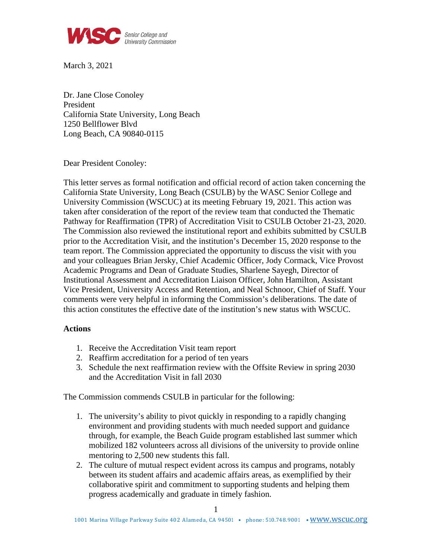

March 3, 2021

Dr. Jane Close Conoley President California State University, Long Beach 1250 Bellflower Blvd Long Beach, CA 90840-0115

Dear President Conoley:

This letter serves as formal notification and official record of action taken concerning the California State University, Long Beach (CSULB) by the WASC Senior College and University Commission (WSCUC) at its meeting February 19, 2021. This action was taken after consideration of the report of the review team that conducted the Thematic Pathway for Reaffirmation (TPR) of Accreditation Visit to CSULB October 21-23, 2020. The Commission also reviewed the institutional report and exhibits submitted by CSULB prior to the Accreditation Visit, and the institution's December 15, 2020 response to the team report. The Commission appreciated the opportunity to discuss the visit with you and your colleagues Brian Jersky, Chief Academic Officer, Jody Cormack, Vice Provost Academic Programs and Dean of Graduate Studies, Sharlene Sayegh, Director of Institutional Assessment and Accreditation Liaison Officer, John Hamilton, Assistant Vice President, University Access and Retention, and Neal Schnoor, Chief of Staff*.* Your comments were very helpful in informing the Commission's deliberations. The date of this action constitutes the effective date of the institution's new status with WSCUC.

## **Actions**

- 1. Receive the Accreditation Visit team report
- 2. Reaffirm accreditation for a period of ten years
- 3. Schedule the next reaffirmation review with the Offsite Review in spring 2030 and the Accreditation Visit in fall 2030

The Commission commends CSULB in particular for the following:

- 1. The university's ability to pivot quickly in responding to a rapidly changing environment and providing students with much needed support and guidance through, for example, the Beach Guide program established last summer which mobilized 182 volunteers across all divisions of the university to provide online mentoring to 2,500 new students this fall.
- 2. The culture of mutual respect evident across its campus and programs, notably between its student affairs and academic affairs areas, as exemplified by their collaborative spirit and commitment to supporting students and helping them progress academically and graduate in timely fashion.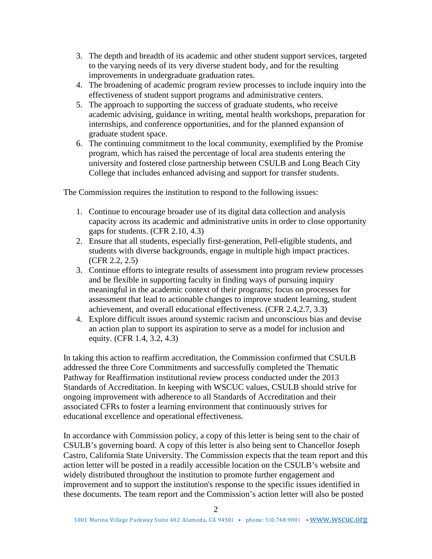- 3. The depth and breadth of its academic and other student support services, targeted to the varying needs of its very diverse student body, and for the resulting improvements in undergraduate graduation rates.
- 4. The broadening of academic program review processes to include inquiry into the effectiveness of student support programs and administrative centers.
- 5. The approach to supporting the success of graduate students, who receive academic advising, guidance in writing, mental health workshops, preparation for internships, and conference opportunities, and for the planned expansion of graduate student space.
- 6. The continuing commitment to the local community, exemplified by the Promise program, which has raised the percentage of local area students entering the university and fostered close partnership between CSULB and Long Beach City College that includes enhanced advising and support for transfer students.

The Commission requires the institution to respond to the following issues:

- 1. Continue to encourage broader use of its digital data collection and analysis capacity across its academic and administrative units in order to close opportunity gaps for students. (CFR 2.10, 4.3)
- 2. Ensure that all students, especially first-generation, Pell-eligible students, and students with diverse backgrounds, engage in multiple high impact practices. (CFR 2.2, 2.5)
- 3. Continue efforts to integrate results of assessment into program review processes and be flexible in supporting faculty in finding ways of pursuing inquiry meaningful in the academic context of their programs; focus on processes for assessment that lead to actionable changes to improve student learning, student achievement, and overall educational effectiveness. (CFR 2.4,2.7, 3.3)
- 4. Explore difficult issues around systemic racism and unconscious bias and devise an action plan to support its aspiration to serve as a model for inclusion and equity. (CFR 1.4, 3.2, 4.3)

In taking this action to reaffirm accreditation, the Commission confirmed that CSULB addressed the three Core Commitments and successfully completed the Thematic Pathway for Reaffirmation institutional review process conducted under the 2013 Standards of Accreditation. In keeping with WSCUC values, CSULB should strive for ongoing improvement with adherence to all Standards of Accreditation and their associated CFRs to foster a learning environment that continuously strives for educational excellence and operational effectiveness.

In accordance with Commission policy, a copy of this letter is being sent to the chair of CSULB's governing board. A copy of this letter is also being sent to Chancellor Joseph Castro, California State University. The Commission expects that the team report and this action letter will be posted in a readily accessible location on the CSULB's website and widely distributed throughout the institution to promote further engagement and improvement and to support the institution's response to the specific issues identified in these documents. The team report and the Commission's action letter will also be posted